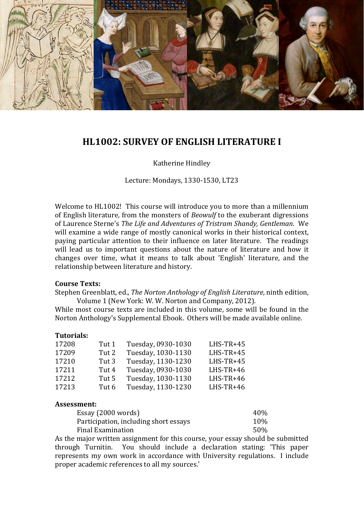

# **HL1002: SURVEY OF ENGLISH LITERATURE I**

Katherine Hindley

Lecture: Mondays, 1330-1530, LT23

Welcome to HL1002! This course will introduce you to more than a millennium of English literature, from the monsters of *Beowulf* to the exuberant digressions of Laurence Sterne's *The Life and Adventures of Tristram Shandy, Gentleman*. We will examine a wide range of mostly canonical works in their historical context, paying particular attention to their influence on later literature. The readings will lead us to important questions about the nature of literature and how it changes over time, what it means to talk about 'English' literature, and the relationship between literature and history.

### **Course Texts:**

Stephen Greenblatt, ed., *The Norton Anthology of English Literature*, ninth edition, Volume 1 (New York: W. W. Norton and Company, 2012).

While most course texts are included in this volume, some will be found in the Norton Anthology's Supplemental Ebook. Others will be made available online.

#### **Tutorials:**

| 17208 | Tut 1 | Tuesday, 0930-1030 | $LHS-TR+45$ |
|-------|-------|--------------------|-------------|
| 17209 | Tut 2 | Tuesday, 1030-1130 | $LHS-TR+45$ |
| 17210 | Tut 3 | Tuesday, 1130-1230 | $LHS-TR+45$ |
| 17211 | Tut 4 | Tuesday, 0930-1030 | $LHS-TR+46$ |
| 17212 | Tut 5 | Tuesday, 1030-1130 | $LHS-TR+46$ |
| 17213 | Tut 6 | Tuesday, 1130-1230 | $LHS-TR+46$ |

#### **Assessment:**

| Essay (2000 words)                    | 40% |
|---------------------------------------|-----|
| Participation, including short essays | 10% |
| Final Examination                     | 50% |

As the major written assignment for this course, your essay should be submitted through Turnitin. You should include a declaration stating: 'This paper represents my own work in accordance with University regulations. I include proper academic references to all my sources.'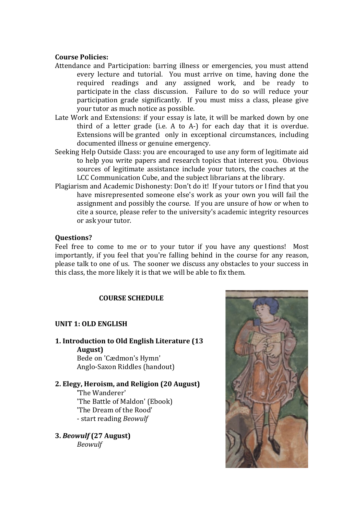### **Course Policies:**

- Attendance and Participation: barring illness or emergencies, you must attend every lecture and tutorial. You must arrive on time, having done the required readings and any assigned work, and be ready to participate in the class discussion. Failure to do so will reduce your participation grade significantly. If you must miss a class, please give your tutor as much notice as possible.
- Late Work and Extensions: if your essay is late, it will be marked down by one third of a letter grade (i.e. A to A-) for each day that it is overdue. Extensions will be granted only in exceptional circumstances, including documented illness or genuine emergency.
- Seeking Help Outside Class: you are encouraged to use any form of legitimate aid to help you write papers and research topics that interest you. Obvious sources of legitimate assistance include your tutors, the coaches at the LCC Communication Cube, and the subject librarians at the library.
- Plagiarism and Academic Dishonesty: Don't do it! If your tutors or I find that you have misrepresented someone else's work as your own you will fail the assignment and possibly the course. If you are unsure of how or when to cite a source, please refer to the university's academic integrity resources or ask your tutor.

### **Questions?**

Feel free to come to me or to your tutor if you have any questions! Most importantly, if you feel that you're falling behind in the course for any reason, please talk to one of us. The sooner we discuss any obstacles to your success in this class, the more likely it is that we will be able to fix them.

## **COURSE SCHEDULE**

## **UNIT 1: OLD ENGLISH**

**1. Introduction to Old English Literature (13 August)** Bede on 'Cædmon's Hymn' Anglo-Saxon Riddles (handout)

**2. Elegy, Heroism, and Religion (20 August) '**The Wanderer' 'The Battle of Maldon' (Ebook) 'The Dream of the Rood' - start reading *Beowulf*

**3.** *Beowulf* **(27 August)** *Beowulf*

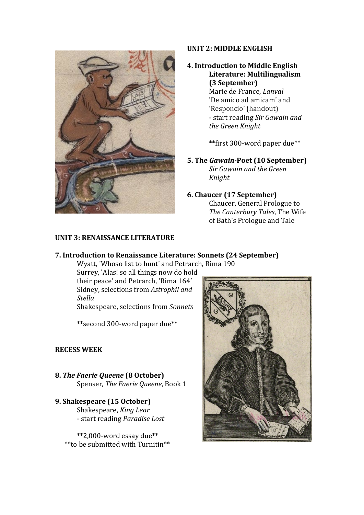

## **UNIT 2: MIDDLE ENGLISH**

## **4. Introduction to Middle English Literature: Multilingualism (3 September)**

Marie de France, *Lanval* 'De amico ad amicam' and 'Responcio' (handout) - start reading *Sir Gawain and the Green Knight* 

\*\*first 300-word paper due\*\*

**5. The** *Gawain***-Poet (10 September)** *Sir Gawain and the Green Knight*

## **6. Chaucer (17 September)**

Chaucer, General Prologue to *The Canterbury Tales*, The Wife of Bath's Prologue and Tale

## **UNIT 3: RENAISSANCE LITERATURE**

### **7. Introduction to Renaissance Literature: Sonnets (24 September)**

Wyatt, 'Whoso list to hunt' and Petrarch, Rima 190

Surrey, 'Alas! so all things now do hold their peace' and Petrarch, 'Rima 164' Sidney, selections from *Astrophil and Stella*

Shakespeare, selections from *Sonnets*

\*\*second 300-word paper due\*\*

## **RECESS WEEK**

- **8.** *The Faerie Queene* **(8 October)** Spenser, *The Faerie Queene*, Book 1
- **9. Shakespeare (15 October)** Shakespeare, *King Lear* - start reading *Paradise Lost*

\*\*2,000-word essay due\*\* \*\*to be submitted with Turnitin\*\*